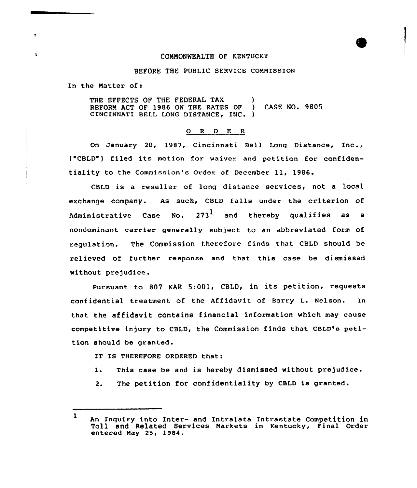## COMMONWEALTH OF KENTUCKY

## BEFORE THE PUBLIC SERVICE CoNNIssION

In the Natter of:

 $\blacksquare$ 

THE EFFECTS OF THE FEDERAL TAX (a)<br>REFORM ACT OF 1986 ON THE RATES OF (4) CASE NO. 9805 REFORM ACT OF 1986 ON THE RATES OF CINCINNATI BELL LONG DISTANCE, INC. )

## O R D E R

On January 20, 1987, Cincinnati Bell Long Distance, Inc., ("CBLD") filed its motion for waiver and petition for confidentiality to the Commission's order of December 11, 1986.

CBLD is a reseller of long distance services, not a local exchange company. As such, CBLD falls under the criterion of Administrative Case No. 273<sup>1</sup> and thereby qualifies as a nondominant carrier generally subject to an abbreviated form of regulaticn. The Commission therefore finds that CBLD should be relieved of further response and that this case be dismissed without prejudice.

Pursuant to 807 KAR 5:001. CBLD, in its petition, requests confidential treatment of the Affidavit of Barry L. Nelson. In that the affidavit contains financial information which may cause competitive injury to CBLD, the Commission finds that CBLD's petition should be granted.

IT IS THEREFORE ORDERED that:

- l. This case be and is hereby dismissed without prejudice.
- 2. The petition for confidentiality by cBLD is granted.

<sup>1</sup> An Inquiry into Inter- and Intralata Intrastate Competition in Toll and Related Services Narkets in Kentucky, Final Order entered Nay 25, 1984.